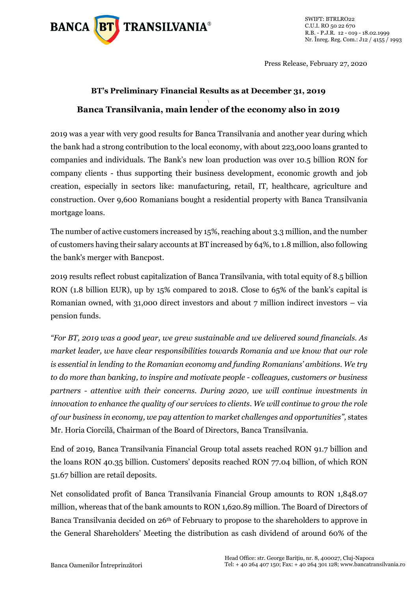

Press Release, February 27, 2020

### **BT's Preliminary Financial Results as at December 31, 2019 \ Banca Transilvania, main lender of the economy also in 2019**

2019 was a year with very good results for Banca Transilvania and another year during which the bank had a strong contribution to the local economy, with about 223,000 loans granted to companies and individuals. The Bank's new loan production was over 10.5 billion RON for company clients - thus supporting their business development, economic growth and job creation, especially in sectors like: manufacturing, retail, IT, healthcare, agriculture and construction. Over 9,600 Romanians bought a residential property with Banca Transilvania mortgage loans.

The number of active customers increased by 15%, reaching about 3.3 million, and the number of customers having their salary accounts at BT increased by 64%, to 1.8 million, also following the bank's merger with Bancpost.

2019 results reflect robust capitalization of Banca Transilvania, with total equity of 8.5 billion RON (1.8 billion EUR), up by 15% compared to 2018. Close to 65% of the bank's capital is Romanian owned, with 31,000 direct investors and about 7 million indirect investors – via pension funds.

*"For BT, 2019 was a good year, we grew sustainable and we delivered sound financials. As market leader, we have clear responsibilities towards Romania and we know that our role is essential in lending to the Romanian economy and funding Romanians' ambitions. We try to do more than banking, to inspire and motivate people - colleagues, customers or business partners - attentive with their concerns. During 2020, we will continue investments in innovation to enhance the quality of our services to clients. We will continue to grow the role of our business in economy, we pay attention to market challenges and opportunities",* states Mr. Horia Ciorcilă, Chairman of the Board of Directors, Banca Transilvania.

End of 2019, Banca Transilvania Financial Group total assets reached RON 91.7 billion and the loans RON 40.35 billion. Customers' deposits reached RON 77.04 billion, of which RON 51.67 billion are retail deposits.

Net consolidated profit of Banca Transilvania Financial Group amounts to RON 1,848.07 million, whereas that of the bank amounts to RON 1,620.89 million. The Board of Directors of Banca Transilvania decided on 26<sup>th</sup> of February to propose to the shareholders to approve in the General Shareholders' Meeting the distribution as cash dividend of around 60% of the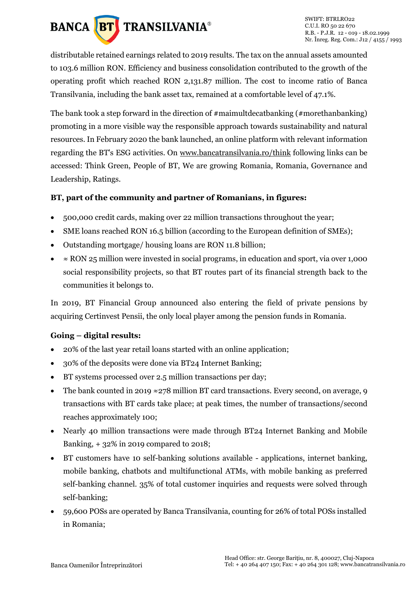

distributable retained earnings related to 2019 results. The tax on the annual assets amounted to 103.6 million RON. Efficiency and business consolidation contributed to the growth of the operating profit which reached RON 2,131.87 million. The cost to income ratio of Banca Transilvania, including the bank asset tax, remained at a comfortable level of 47.1%.

The bank took a step forward in the direction of #maimultdecatbanking (#morethanbanking) promoting in a more visible way the responsible approach towards sustainability and natural resources. In February 2020 the bank launched, an online platform with relevant information regarding the BT's ESG activities. On [www.bancatransilvania.ro/think](http://www.bancatransilvania.ro/think) following links can be accessed: Think Green, People of BT, We are growing Romania, Romania, Governance and Leadership, Ratings.

### **BT, part of the community and partner of Romanians, in figures:**

- 500,000 credit cards, making over 22 million transactions throughout the year;
- SME loans reached RON 16.5 billion (according to the European definition of SMEs);
- Outstanding mortgage/ housing loans are RON 11.8 billion;
- $\approx$  RON 25 million were invested in social programs, in education and sport, via over 1,000 social responsibility projects, so that BT routes part of its financial strength back to the communities it belongs to.

In 2019, BT Financial Group announced also entering the field of private pensions by acquiring Certinvest Pensii, the only local player among the pension funds in Romania.

## **Going – digital results:**

- 20% of the last year retail loans started with an online application;
- 30% of the deposits were done via BT24 Internet Banking;
- BT systems processed over 2.5 million transactions per day;
- The bank counted in 2019  $\approx$  278 million BT card transactions. Every second, on average, 9 transactions with BT cards take place; at peak times, the number of transactions/second reaches approximately 100;
- Nearly 40 million transactions were made through BT24 Internet Banking and Mobile Banking, + 32% in 2019 compared to 2018;
- BT customers have 10 self-banking solutions available applications, internet banking, mobile banking, chatbots and multifunctional ATMs, with mobile banking as preferred self-banking channel. 35% of total customer inquiries and requests were solved through self-banking;
- 59,600 POSs are operated by Banca Transilvania, counting for 26% of total POSs installed in Romania;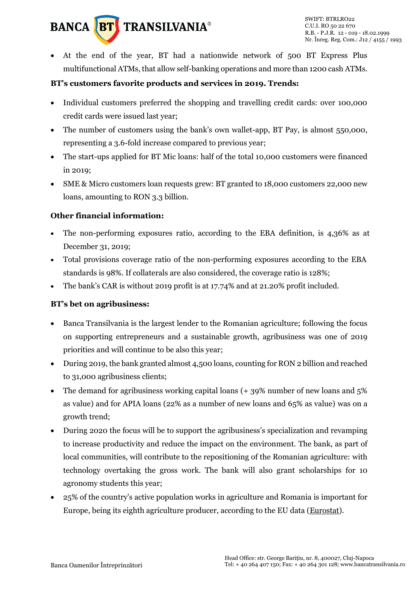

• At the end of the year, BT had a nationwide network of 500 BT Express Plus multifunctional ATMs, that allow self-banking operations and more than 1200 cash ATMs.

### **BT's customers favorite products and services in 2019. Trends:**

- Individual customers preferred the shopping and travelling credit cards: over 100,000 credit cards were issued last year;
- The number of customers using the bank's own wallet-app, BT Pay, is almost 550,000, representing a 3.6-fold increase compared to previous year;
- The start-ups applied for BT Mic loans: half of the total 10,000 customers were financed in 2019;
- SME & Micro customers loan requests grew: BT granted to 18,000 customers 22,000 new loans, amounting to RON 3.3 billion.

### **Other financial information:**

- The non-performing exposures ratio, according to the EBA definition, is 4,36% as at December 31, 2019;
- Total provisions coverage ratio of the non-performing exposures according to the EBA standards is 98%. If collaterals are also considered, the coverage ratio is 128%;
- The bank's CAR is without 2019 profit is at 17.74% and at 21.20% profit included.

### **BT's bet on agribusiness:**

- Banca Transilvania is the largest lender to the Romanian agriculture; following the focus on supporting entrepreneurs and a sustainable growth, agribusiness was one of 2019 priorities and will continue to be also this year;
- During 2019, the bank granted almost 4,500 loans, counting for RON 2 billion and reached to 31,000 agribusiness clients;
- The demand for agribusiness working capital loans  $(+, 39\%)$  number of new loans and 5% as value) and for APIA loans (22% as a number of new loans and 65% as value) was on a growth trend;
- During 2020 the focus will be to support the agribusiness's specialization and revamping to increase productivity and reduce the impact on the environment. The bank, as part of local communities, will contribute to the repositioning of the Romanian agriculture: with technology overtaking the gross work. The bank will also grant scholarships for 10 agronomy students this year;
- 25% of the country's active population works in agriculture and Romania is important for Europe, being its eighth agriculture producer, according to the EU data [\(Eurostat\)](https://ec.europa.eu/eurostat/statistics-explained/index.php?title=Archive:Farmers_in_the_EU_-_statistics).